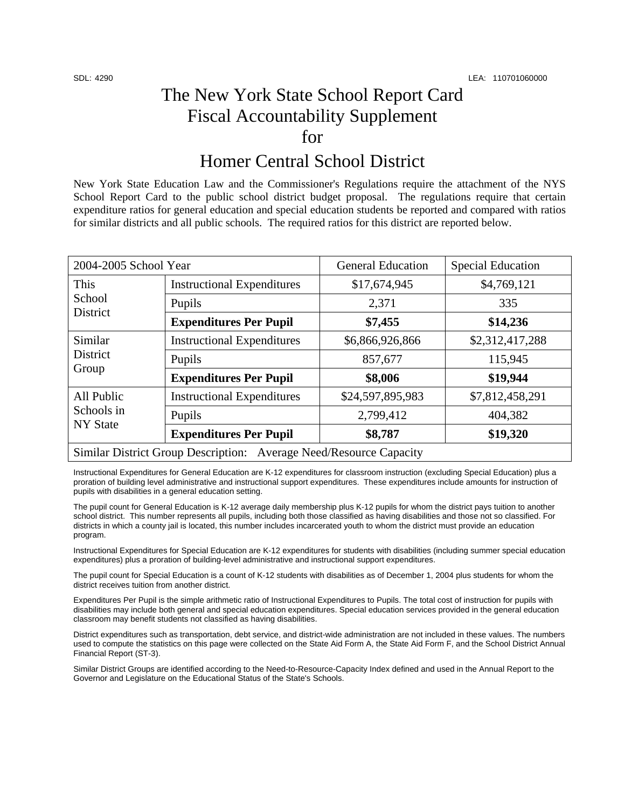## The New York State School Report Card Fiscal Accountability Supplement for

## Homer Central School District

New York State Education Law and the Commissioner's Regulations require the attachment of the NYS School Report Card to the public school district budget proposal. The regulations require that certain expenditure ratios for general education and special education students be reported and compared with ratios for similar districts and all public schools. The required ratios for this district are reported below.

| 2004-2005 School Year                                              |                                   | <b>General Education</b> | <b>Special Education</b> |  |
|--------------------------------------------------------------------|-----------------------------------|--------------------------|--------------------------|--|
| This<br>School<br>District                                         | <b>Instructional Expenditures</b> | \$17,674,945             | \$4,769,121              |  |
|                                                                    | Pupils                            | 2,371                    | 335                      |  |
|                                                                    | <b>Expenditures Per Pupil</b>     | \$7,455                  | \$14,236                 |  |
| Similar<br>District<br>Group                                       | <b>Instructional Expenditures</b> | \$6,866,926,866          | \$2,312,417,288          |  |
|                                                                    | Pupils                            | 857,677                  | 115,945                  |  |
|                                                                    | <b>Expenditures Per Pupil</b>     | \$8,006                  | \$19,944                 |  |
| All Public<br>Schools in<br><b>NY</b> State                        | <b>Instructional Expenditures</b> | \$24,597,895,983         | \$7,812,458,291          |  |
|                                                                    | Pupils                            | 2,799,412                | 404,382                  |  |
|                                                                    | <b>Expenditures Per Pupil</b>     | \$8,787                  | \$19,320                 |  |
| Similar District Group Description: Average Need/Resource Capacity |                                   |                          |                          |  |

Instructional Expenditures for General Education are K-12 expenditures for classroom instruction (excluding Special Education) plus a proration of building level administrative and instructional support expenditures. These expenditures include amounts for instruction of pupils with disabilities in a general education setting.

The pupil count for General Education is K-12 average daily membership plus K-12 pupils for whom the district pays tuition to another school district. This number represents all pupils, including both those classified as having disabilities and those not so classified. For districts in which a county jail is located, this number includes incarcerated youth to whom the district must provide an education program.

Instructional Expenditures for Special Education are K-12 expenditures for students with disabilities (including summer special education expenditures) plus a proration of building-level administrative and instructional support expenditures.

The pupil count for Special Education is a count of K-12 students with disabilities as of December 1, 2004 plus students for whom the district receives tuition from another district.

Expenditures Per Pupil is the simple arithmetic ratio of Instructional Expenditures to Pupils. The total cost of instruction for pupils with disabilities may include both general and special education expenditures. Special education services provided in the general education classroom may benefit students not classified as having disabilities.

District expenditures such as transportation, debt service, and district-wide administration are not included in these values. The numbers used to compute the statistics on this page were collected on the State Aid Form A, the State Aid Form F, and the School District Annual Financial Report (ST-3).

Similar District Groups are identified according to the Need-to-Resource-Capacity Index defined and used in the Annual Report to the Governor and Legislature on the Educational Status of the State's Schools.